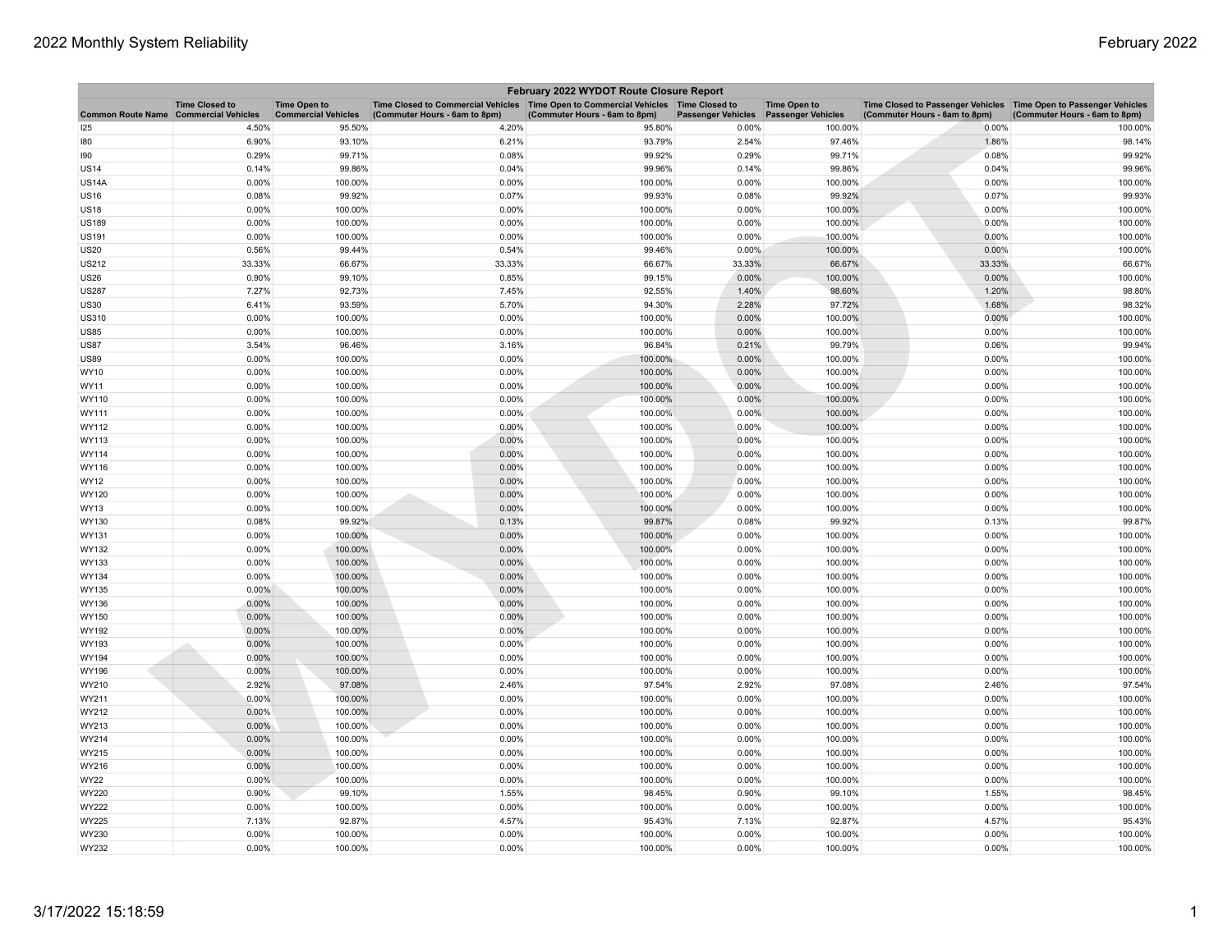| February 2022 WYDOT Route Closure Report |                       |                                                   |                                                                                                                       |                               |                           |                                                  |                                                                                                    |                               |  |
|------------------------------------------|-----------------------|---------------------------------------------------|-----------------------------------------------------------------------------------------------------------------------|-------------------------------|---------------------------|--------------------------------------------------|----------------------------------------------------------------------------------------------------|-------------------------------|--|
| Common Route Name Commercial Vehicles    | <b>Time Closed to</b> | <b>Time Open to</b><br><b>Commercial Vehicles</b> | Time Closed to Commercial Vehicles  Time Open to Commercial Vehicles  Time Closed to<br>(Commuter Hours - 6am to 8pm) | (Commuter Hours - 6am to 8pm) | <b>Passenger Vehicles</b> | <b>Time Open to</b><br><b>Passenger Vehicles</b> | Time Closed to Passenger Vehicles Time Open to Passenger Vehicles<br>(Commuter Hours - 6am to 8pm) | (Commuter Hours - 6am to 8pm) |  |
| 125                                      | 4.50%                 | 95.50%                                            | 4.20%                                                                                                                 | 95.80%                        | 0.00%                     | 100.00%                                          | 0.00%                                                                                              | 100.00%                       |  |
| 180                                      | 6.90%                 | 93.10%                                            | 6.21%                                                                                                                 | 93.79%                        | 2.54%                     | 97.46%                                           | 1.86%                                                                                              | 98.14%                        |  |
| 190                                      | 0.29%                 | 99.71%                                            | 0.08%                                                                                                                 | 99.92%                        | 0.29%                     | 99.71%                                           | 0.08%                                                                                              | 99.92%                        |  |
| <b>US14</b>                              | 0.14%                 | 99.86%                                            | 0.04%                                                                                                                 | 99.96%                        | 0.14%                     | 99.86%                                           | 0.04%                                                                                              | 99.96%                        |  |
| <b>US14A</b>                             | 0.00%                 | 100.00%                                           | 0.00%                                                                                                                 | 100.00%                       | 0.00%                     | 100.00%                                          | 0.00%                                                                                              | 100.00%                       |  |
| <b>US16</b>                              | 0.08%                 | 99.92%                                            | 0.07%                                                                                                                 | 99.93%                        | 0.08%                     | 99.92%                                           | 0.07%                                                                                              | 99.93%                        |  |
| US18                                     | 0.00%                 | 100.00%                                           | 0.00%                                                                                                                 | 100.00%                       | 0.00%                     | 100.00%                                          | 0.00%                                                                                              | 100.00%                       |  |
| <b>US189</b>                             | 0.00%                 | 100.00%                                           | 0.00%                                                                                                                 | 100.00%                       | 0.00%                     | 100.00%                                          | 0.00%                                                                                              | 100.00%                       |  |
| US191                                    | 0.00%                 | 100.00%                                           | 0.00%                                                                                                                 | 100.00%                       | 0.00%                     | 100.00%                                          | 0.00%                                                                                              | 100.00%                       |  |
| US20                                     | 0.56%                 | 99.44%                                            | 0.54%                                                                                                                 | 99.46%                        | 0.00%                     | 100.00%                                          | 0.00%                                                                                              | 100.00%                       |  |
| US212                                    | 33.33%                | 66.67%                                            | 33.33%                                                                                                                | 66.67%                        | 33.33%                    | 66.67%                                           | 33.33%                                                                                             | 66.67%                        |  |
| US26                                     | 0.90%                 | 99.10%                                            | 0.85%                                                                                                                 | 99.15%                        | 0.00%                     | 100.00%                                          | 0.00%                                                                                              | 100.00%                       |  |
| US287                                    | 7.27%                 | 92.73%                                            | 7.45%                                                                                                                 | 92.55%                        | 1.40%                     | 98.60%                                           | 1.20%                                                                                              | 98.80%                        |  |
| <b>US30</b>                              | 6.41%                 | 93.59%                                            | 5.70%                                                                                                                 | 94.30%                        | 2.28%                     | 97.72%                                           | 1.68%                                                                                              | 98.32%                        |  |
| US310                                    | 0.00%                 | 100.00%                                           | 0.00%                                                                                                                 | 100.00%                       | 0.00%                     | 100.00%                                          | 0.00%                                                                                              | 100.00%                       |  |
| US85                                     | 0.00%                 | 100.00%                                           | 0.00%                                                                                                                 | 100.00%                       | 0.00%                     | 100.00%                                          | 0.00%                                                                                              | 100.00%                       |  |
| <b>US87</b>                              | 3.54%                 | 96.46%                                            | 3.16%                                                                                                                 | 96.84%                        | 0.21%                     | 99.79%                                           | 0.06%                                                                                              | 99.94%                        |  |
| <b>US89</b>                              | 0.00%                 | 100.00%                                           | 0.00%                                                                                                                 | 100.00%                       | 0.00%                     | 100.00%                                          | 0.00%                                                                                              | 100.00%                       |  |
| WY10                                     | 0.00%                 | 100.00%                                           | 0.00%                                                                                                                 | 100.00%                       | 0.00%                     | 100.00%                                          | 0.00%                                                                                              | 100.00%                       |  |
| WY11                                     | 0.00%                 | 100.00%                                           | 0.00%                                                                                                                 | 100.00%                       | 0.00%                     | 100.00%                                          | 0.00%                                                                                              | 100.00%                       |  |
| WY110                                    | 0.00%                 | 100.00%                                           | 0.00%                                                                                                                 | 100.00%                       | 0.00%                     | 100.00%                                          | 0.00%                                                                                              | 100.00%                       |  |
| WY111                                    | 0.00%                 | 100.00%                                           | 0.00%                                                                                                                 | 100.00%                       | 0.00%                     | 100.00%                                          | 0.00%                                                                                              | 100.00%                       |  |
| WY112                                    | 0.00%                 | 100.00%                                           | 0.00%                                                                                                                 | 100.00%                       | 0.00%                     | 100.00%                                          | 0.00%                                                                                              | 100.00%                       |  |
| WY113                                    | 0.00%                 | 100.00%                                           | 0.00%                                                                                                                 | 100.00%                       | 0.00%                     | 100.00%                                          | 0.00%                                                                                              | 100.00%                       |  |
| WY114                                    | 0.00%                 | 100.00%                                           | 0.00%                                                                                                                 | 100.00%                       | 0.00%                     | 100.00%                                          | 0.00%                                                                                              | 100.00%                       |  |
| WY116                                    | 0.00%                 | 100.00%                                           | 0.00%                                                                                                                 | 100.00%                       | 0.00%                     | 100.00%                                          | 0.00%                                                                                              | 100.00%                       |  |
| WY12                                     | 0.00%                 | 100.00%                                           | 0.00%                                                                                                                 | 100.00%                       | 0.00%                     | 100.00%                                          | 0.00%                                                                                              | 100.00%                       |  |
| WY120                                    | 0.00%                 | 100.00%                                           | 0.00%                                                                                                                 | 100.00%                       | 0.00%                     | 100.00%                                          | 0.00%                                                                                              | 100.00%                       |  |
| WY13                                     | 0.00%                 | 100.00%                                           | 0.00%                                                                                                                 | 100.00%                       | 0.00%                     | 100.00%                                          | 0.00%                                                                                              | 100.00%                       |  |
| WY130                                    | 0.08%                 | 99.92%                                            | 0.13%                                                                                                                 | 99.87%                        | 0.08%                     | 99.92%                                           | 0.13%                                                                                              | 99.87%                        |  |
| WY131                                    | 0.00%                 | 100.00%                                           | 0.00%                                                                                                                 | 100.00%                       | 0.00%                     | 100.00%                                          | 0.00%                                                                                              | 100.00%                       |  |
| WY132                                    | 0.00%                 | 100.00%                                           | 0.00%                                                                                                                 | 100.00%                       | 0.00%                     | 100.00%                                          | 0.00%                                                                                              | 100.00%                       |  |
| WY133                                    | 0.00%                 | 100.00%                                           | 0.00%                                                                                                                 | 100.00%                       | 0.00%                     | 100.00%                                          | 0.00%                                                                                              | 100.00%                       |  |
| WY134                                    | 0.00%                 | 100.00%                                           | 0.00%                                                                                                                 | 100.00%                       | 0.00%                     | 100.00%                                          | 0.00%                                                                                              | 100.00%                       |  |
| WY135                                    | $0.00\%$              | 100.00%                                           | 0.00%                                                                                                                 | 100.00%                       | 0.00%                     | 100.00%                                          | 0.00%                                                                                              | 100.00%                       |  |
| WY136                                    | 0.00%                 | 100.00%                                           | 0.00%                                                                                                                 | 100.00%                       | 0.00%                     | 100.00%                                          | 0.00%                                                                                              | 100.00%                       |  |
| WY150                                    | 0.00%                 | 100.00%                                           | 0.00%                                                                                                                 | 100.00%                       | 0.00%                     | 100.00%                                          | 0.00%                                                                                              | 100.00%                       |  |
| WY192                                    | 0.00%                 | 100.00%                                           | 0.00%                                                                                                                 | 100.00%                       | 0.00%                     | 100.00%                                          | 0.00%                                                                                              | 100.00%                       |  |
| WY193                                    | 0.00%                 | 100.00%                                           | 0.00%                                                                                                                 | 100.00%                       | 0.00%                     | 100.00%                                          | 0.00%                                                                                              | 100.00%                       |  |
| WY194                                    | 0.00%                 | 100.00%                                           | 0.00%                                                                                                                 | 100.00%                       | 0.00%                     | 100.00%                                          | 0.00%                                                                                              | 100.00%                       |  |
| WY196                                    | 0.00%                 | 100.00%                                           | 0.00%                                                                                                                 | 100.00%                       | 0.00%                     | 100.00%                                          | 0.00%                                                                                              | 100.00%                       |  |
| WY210                                    | 2.92%                 | 97.08%                                            | 2.46%                                                                                                                 | 97.54%                        | 2.92%                     | 97.08%                                           | 2.46%                                                                                              | 97.54%                        |  |
| WY211                                    | $0.00\%$              | 100.00%                                           | 0.00%                                                                                                                 | 100.00%                       | 0.00%                     | 100.00%                                          | 0.00%                                                                                              | 100.00%                       |  |
| WY212                                    | 0.00%                 | 100.00%                                           | 0.00%                                                                                                                 | 100.00%                       | 0.00%                     | 100.00%                                          | 0.00%                                                                                              | 100.00%                       |  |
| WY213                                    | 0.00%                 | 100.00%                                           | 0.00%                                                                                                                 | 100.00%                       | 0.00%                     | 100.00%                                          | 0.00%                                                                                              | 100.00%                       |  |
| WY214                                    | 0.00%                 | 100.00%                                           | 0.00%                                                                                                                 | 100.00%                       | 0.00%                     | 100.00%                                          | 0.00%                                                                                              | 100.00%                       |  |
| WY215                                    | 0.00%                 | 100.00%                                           | 0.00%                                                                                                                 | 100.00%                       | 0.00%                     | 100.00%                                          | 0.00%                                                                                              | 100.00%                       |  |
| WY216                                    | 0.00%                 | 100.00%                                           | 0.00%                                                                                                                 | 100.00%                       | 0.00%                     | 100.00%                                          | 0.00%                                                                                              | 100.00%                       |  |
| <b>WY22</b>                              | 0.00%                 | 100.00%                                           | 0.00%                                                                                                                 | 100.00%                       | 0.00%                     | 100.00%                                          | 0.00%                                                                                              | 100.00%                       |  |
| WY220                                    | 0.90%                 | 99.10%                                            | 1.55%                                                                                                                 | 98.45%                        | 0.90%                     | 99.10%                                           | 1.55%                                                                                              | 98.45%                        |  |
| WY222                                    | 0.00%                 | 100.00%                                           | 0.00%                                                                                                                 | 100.00%                       | 0.00%                     | 100.00%                                          | 0.00%                                                                                              | 100.00%                       |  |
| WY225                                    | 7.13%                 | 92.87%                                            | 4.57%                                                                                                                 | 95.43%                        | 7.13%                     | 92.87%                                           | 4.57%                                                                                              | 95.43%                        |  |
| WY230                                    | 0.00%                 | 100.00%                                           | 0.00%                                                                                                                 | 100.00%                       | 0.00%                     | 100.00%                                          | 0.00%                                                                                              | 100.00%                       |  |
| WY232                                    | 0.00%                 | 100.00%                                           | 0.00%                                                                                                                 | 100.00%                       | 0.00%                     | 100.00%                                          | 0.00%                                                                                              | 100.00%                       |  |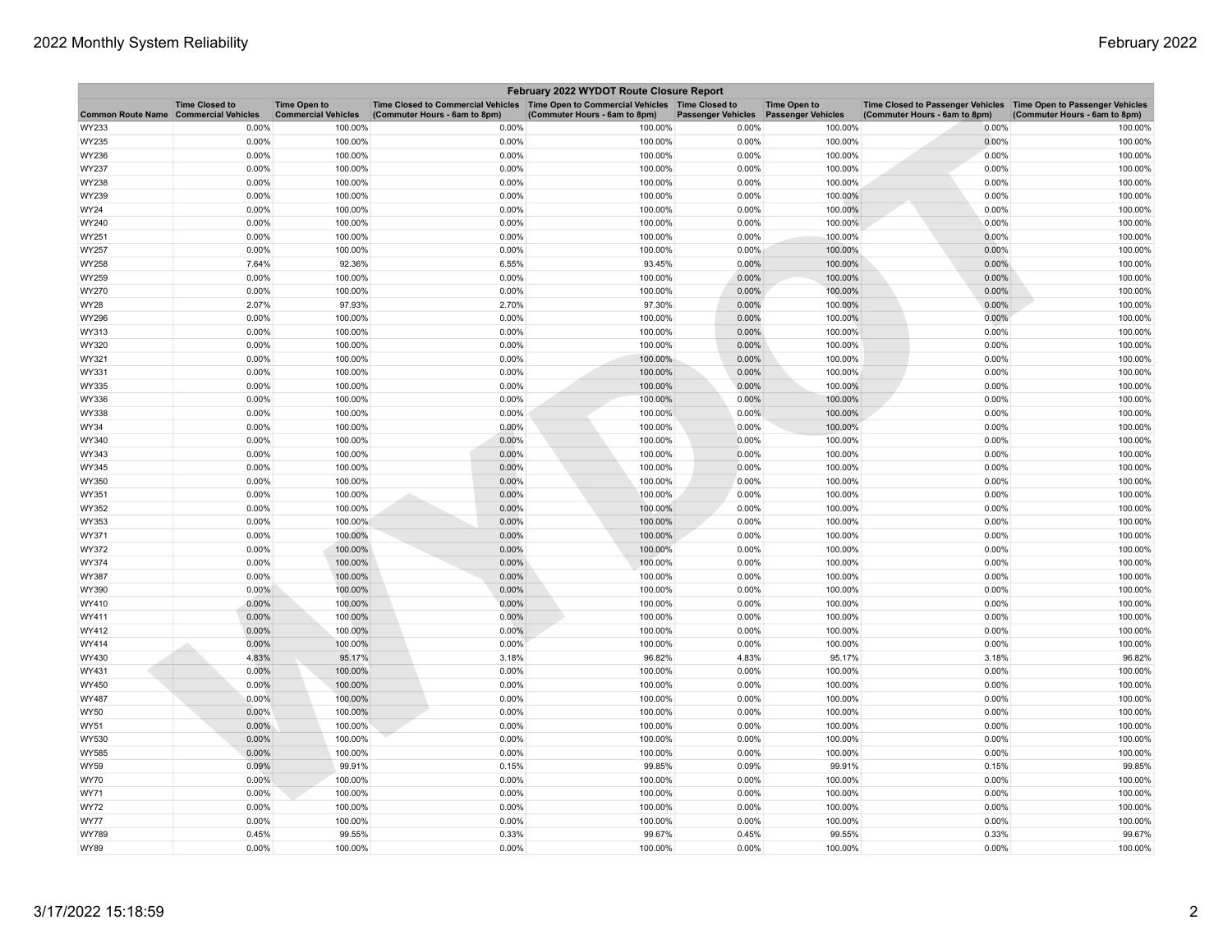| February 2022 WYDOT Route Closure Report |                       |                                                   |                                                                                                                       |                               |                           |                                                  |                                                                                                     |                               |  |
|------------------------------------------|-----------------------|---------------------------------------------------|-----------------------------------------------------------------------------------------------------------------------|-------------------------------|---------------------------|--------------------------------------------------|-----------------------------------------------------------------------------------------------------|-------------------------------|--|
| Common Route Name Commercial Vehicles    | <b>Time Closed to</b> | <b>Time Open to</b><br><b>Commercial Vehicles</b> | Time Closed to Commercial Vehicles  Time Open to Commercial Vehicles  Time Closed to<br>(Commuter Hours - 6am to 8pm) | (Commuter Hours - 6am to 8pm) | <b>Passenger Vehicles</b> | <b>Time Open to</b><br><b>Passenger Vehicles</b> | Time Closed to Passenger Vehicles  Time Open to Passenger Vehicles<br>(Commuter Hours - 6am to 8pm) | (Commuter Hours - 6am to 8pm) |  |
| WY233                                    | 0.00%                 | 100.00%                                           | 0.00%                                                                                                                 | 100.00%                       | 0.00%                     | 100.00%                                          | 0.00%                                                                                               | 100.00%                       |  |
| WY235                                    | 0.00%                 | 100.00%                                           | 0.00%                                                                                                                 | 100.00%                       | 0.00%                     | 100.00%                                          | 0.00%                                                                                               | 100.00%                       |  |
| WY236                                    | 0.00%                 | 100.00%                                           | 0.00%                                                                                                                 | 100.00%                       | 0.00%                     | 100.00%                                          | 0.00%                                                                                               | 100.00%                       |  |
| WY237                                    | 0.00%                 | 100.00%                                           | 0.00%                                                                                                                 | 100.00%                       | 0.00%                     | 100.00%                                          | 0.00%                                                                                               | 100.00%                       |  |
| WY238                                    | 0.00%                 | 100.00%                                           | 0.00%                                                                                                                 | 100.00%                       | 0.00%                     | 100.00%                                          | 0.00%                                                                                               | 100.00%                       |  |
| WY239                                    | 0.00%                 | 100.00%                                           | 0.00%                                                                                                                 | 100.00%                       | 0.00%                     | 100.00%                                          | 0.00%                                                                                               | 100.00%                       |  |
| WY24                                     | 0.00%                 | 100.00%                                           | 0.00%                                                                                                                 | 100.00%                       | 0.00%                     | 100.00%                                          | 0.00%                                                                                               | 100.00%                       |  |
| WY240                                    | 0.00%                 | 100.00%                                           | 0.00%                                                                                                                 | 100.00%                       | 0.00%                     | 100.00%                                          | 0.00%                                                                                               | 100.00%                       |  |
| WY251                                    | 0.00%                 | 100.00%                                           | 0.00%                                                                                                                 | 100.00%                       | 0.00%                     | 100.00%                                          | 0.00%                                                                                               | 100.00%                       |  |
| WY257                                    | 0.00%                 | 100.00%                                           | 0.00%                                                                                                                 | 100.00%                       | 0.00%                     | 100.00%                                          | 0.00%                                                                                               | 100.00%                       |  |
| WY258                                    | 7.64%                 | 92.36%                                            | 6.55%                                                                                                                 | 93.45%                        | 0.00%                     | 100.00%                                          | 0.00%                                                                                               | 100.00%                       |  |
| WY259                                    | 0.00%                 | 100.00%                                           | 0.00%                                                                                                                 | 100.00%                       | 0.00%                     | 100.00%                                          | 0.00%                                                                                               | 100.00%                       |  |
| WY270                                    | 0.00%                 | 100.00%                                           | 0.00%                                                                                                                 | 100.00%                       | 0.00%                     | 100.00%                                          | 0.00%                                                                                               | 100.00%                       |  |
| <b>WY28</b>                              | 2.07%                 | 97.93%                                            | 2.70%                                                                                                                 | 97.30%                        | 0.00%                     | 100.00%                                          | 0.00%                                                                                               | 100.00%                       |  |
| WY296                                    | 0.00%                 | 100.00%                                           | 0.00%                                                                                                                 | 100.00%                       | 0.00%                     | 100.00%                                          | 0.00%                                                                                               | 100.00%                       |  |
| WY313                                    | 0.00%                 | 100.00%                                           | 0.00%                                                                                                                 | 100.00%                       | 0.00%                     | 100.00%                                          | 0.00%                                                                                               | 100.00%                       |  |
| WY320                                    | 0.00%                 | 100.00%                                           | 0.00%                                                                                                                 | 100.00%                       | 0.00%                     | 100.00%                                          | 0.00%                                                                                               | 100.00%                       |  |
| WY321                                    | 0.00%                 | 100.00%                                           | 0.00%                                                                                                                 | 100.00%                       | 0.00%                     | 100.00%                                          | 0.00%                                                                                               | 100.00%                       |  |
| WY331                                    | 0.00%                 | 100.00%                                           | 0.00%                                                                                                                 | 100.00%                       | 0.00%                     | 100.00%                                          | 0.00%                                                                                               | 100.00%                       |  |
| WY335                                    | 0.00%                 | 100.00%                                           | 0.00%                                                                                                                 | 100.00%                       | 0.00%                     | 100.00%                                          | 0.00%                                                                                               | 100.00%                       |  |
| WY336                                    | 0.00%                 | 100.00%                                           | 0.00%                                                                                                                 | 100.00%                       | 0.00%                     | 100.00%                                          | 0.00%                                                                                               | 100.00%                       |  |
| WY338                                    | 0.00%                 | 100.00%                                           | 0.00%                                                                                                                 | 100.00%                       | 0.00%                     | 100.00%                                          | 0.00%                                                                                               | 100.00%                       |  |
| WY34                                     | 0.00%                 | 100.00%                                           | 0.00%                                                                                                                 | 100.00%                       | 0.00%                     | 100.00%                                          | 0.00%                                                                                               | 100.00%                       |  |
| WY340                                    | 0.00%                 | 100.00%                                           | 0.00%                                                                                                                 | 100.00%                       | 0.00%                     | 100.00%                                          | 0.00%                                                                                               | 100.00%                       |  |
| WY343                                    | 0.00%                 | 100.00%                                           | 0.00%                                                                                                                 | 100.00%                       | 0.00%                     | 100.00%                                          | 0.00%                                                                                               | 100.00%                       |  |
| WY345                                    | 0.00%                 | 100.00%                                           | 0.00%                                                                                                                 | 100.00%                       | 0.00%                     | 100.00%                                          | 0.00%                                                                                               | 100.00%                       |  |
| WY350                                    | 0.00%                 | 100.00%                                           | 0.00%                                                                                                                 | 100.00%                       | 0.00%                     | 100.00%                                          | 0.00%                                                                                               | 100.00%                       |  |
| WY351                                    | 0.00%                 | 100.00%                                           | 0.00%                                                                                                                 | 100.00%                       | 0.00%                     | 100.00%                                          | 0.00%                                                                                               | 100.00%                       |  |
| WY352                                    | 0.00%                 | 100.00%                                           | 0.00%                                                                                                                 | 100.00%                       | 0.00%                     | 100.00%                                          | 0.00%                                                                                               | 100.00%                       |  |
| WY353                                    | 0.00%                 | 100.00%                                           | 0.00%                                                                                                                 | 100.00%                       | 0.00%                     | 100.00%                                          | 0.00%                                                                                               | 100.00%                       |  |
| WY371                                    | 0.00%                 | 100.00%                                           | 0.00%                                                                                                                 | 100.00%                       | 0.00%                     | 100.00%                                          | 0.00%                                                                                               | 100.00%                       |  |
| WY372                                    | 0.00%                 | 100.00%                                           | 0.00%                                                                                                                 | 100.00%                       | 0.00%                     | 100.00%                                          | 0.00%                                                                                               | 100.00%                       |  |
| WY374                                    | 0.00%                 | 100.00%                                           | 0.00%                                                                                                                 | 100.00%                       | 0.00%                     | 100.00%                                          | 0.00%                                                                                               | 100.00%                       |  |
| WY387                                    | 0.00%                 | 100.00%                                           | 0.00%                                                                                                                 | 100.00%                       | 0.00%                     | 100.00%                                          | 0.00%                                                                                               | 100.00%                       |  |
| WY390                                    | $0.00\%$              | 100.00%                                           | 0.00%                                                                                                                 | 100.00%                       | 0.00%                     | 100.00%                                          | 0.00%                                                                                               | 100.00%                       |  |
| WY410                                    | 0.00%                 | 100.00%                                           | 0.00%                                                                                                                 | 100.00%                       | 0.00%                     | 100.00%                                          | 0.00%                                                                                               | 100.00%                       |  |
| WY411                                    | 0.00%                 | 100.00%                                           | 0.00%                                                                                                                 | 100.00%                       | 0.00%                     | 100.00%                                          | 0.00%                                                                                               | 100.00%                       |  |
| WY412                                    | 0.00%                 | 100.00%                                           | 0.00%                                                                                                                 | 100.00%                       | 0.00%                     | 100.00%                                          | 0.00%                                                                                               | 100.00%                       |  |
| WY414                                    | 0.00%                 | 100.00%                                           | 0.00%                                                                                                                 | 100.00%                       | 0.00%                     | 100.00%                                          | 0.00%                                                                                               | 100.00%                       |  |
| WY430                                    | 4.83%                 | 95.17%                                            | 3.18%                                                                                                                 | 96.82%                        | 4.83%                     | 95.17%                                           | 3.18%                                                                                               | 96.82%                        |  |
| WY431                                    | 0.00%                 | 100.00%                                           | 0.00%                                                                                                                 | 100.00%                       | 0.00%                     | 100.00%                                          | 0.00%                                                                                               | 100.00%                       |  |
| WY450                                    | 0.00%                 | 100.00%                                           | 0.00%                                                                                                                 | 100.00%                       | 0.00%                     | 100.00%                                          | 0.00%                                                                                               | 100.00%                       |  |
| WY487                                    | 0.00%                 | 100.00%                                           | 0.00%                                                                                                                 | 100.00%                       | 0.00%                     | 100.00%                                          | 0.00%                                                                                               | 100.00%                       |  |
| <b>WY50</b>                              | 0.00%                 | 100.00%                                           | 0.00%                                                                                                                 | 100.00%                       | 0.00%                     | 100.00%                                          | 0.00%                                                                                               | 100.00%                       |  |
| WY51                                     | 0.00%                 | 100.00%                                           | 0.00%                                                                                                                 | 100.00%                       | 0.00%                     | 100.00%                                          | 0.00%                                                                                               | 100.00%                       |  |
| WY530                                    | 0.00%                 | 100.00%                                           | 0.00%                                                                                                                 | 100.00%                       | 0.00%                     | 100.00%                                          | 0.00%                                                                                               | 100.00%                       |  |
| WY585                                    | 0.00%                 | 100.00%                                           | 0.00%                                                                                                                 | 100.00%                       | 0.00%                     | 100.00%                                          | 0.00%                                                                                               | 100.00%                       |  |
| <b>WY59</b>                              | 0.09%                 | 99.91%                                            | 0.15%                                                                                                                 | 99.85%                        | 0.09%                     | 99.91%                                           | 0.15%                                                                                               | 99.85%                        |  |
| <b>WY70</b>                              | 0.00%                 | 100.00%                                           | 0.00%                                                                                                                 | 100.00%                       | 0.00%                     | 100.00%                                          | 0.00%                                                                                               | 100.00%                       |  |
| WY71                                     | 0.00%                 | 100.00%                                           | 0.00%                                                                                                                 | 100.00%                       | 0.00%                     | 100.00%                                          | 0.00%                                                                                               | 100.00%                       |  |
| <b>WY72</b>                              | 0.00%                 | 100.00%                                           | 0.00%                                                                                                                 | 100.00%                       | 0.00%                     | 100.00%                                          | 0.00%                                                                                               | 100.00%                       |  |
| <b>WY77</b>                              | 0.00%                 | 100.00%                                           | 0.00%                                                                                                                 | 100.00%                       | 0.00%                     | 100.00%                                          | 0.00%                                                                                               | 100.00%                       |  |
| WY789                                    | 0.45%                 | 99.55%                                            | 0.33%                                                                                                                 | 99.67%                        | 0.45%                     | 99.55%                                           | 0.33%                                                                                               | 99.67%                        |  |
| <b>WY89</b>                              | 0.00%                 | 100.00%                                           | 0.00%                                                                                                                 | 100.00%                       | 0.00%                     | 100.00%                                          | 0.00%                                                                                               | 100.00%                       |  |